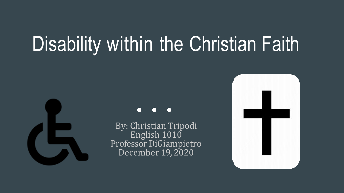# Disability within the Christian Faith



By: Christian Tripodi English 1010 Professor DiGiampietro December 19, 2020

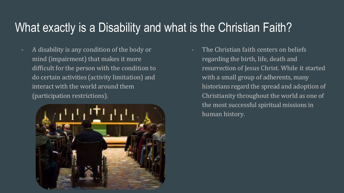#### What exactly is a Disability and what is the Christian Faith?

A disability is any condition of the body or mind (impairment) that makes it more difficult for the person with the condition to do certain activities (activity limitation) and interact with the world around them (participation restrictions).



The Christian faith centers on beliefs regarding the birth, life, death and resurrection of Jesus Christ. While it started with a small group of adherents, many historians regard the spread and adoption of Christianity throughout the world as one of the most successful spiritual missions in human history.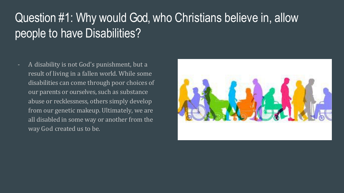### Question #1: Why would God, who Christians believe in, allow people to have Disabilities?

- A disability is not God's punishment, but a result of living in a fallen world. While some disabilities can come through poor choices of our parents or ourselves, such as substance abuse or recklessness, others simply develop from our genetic makeup. Ultimately, we are all disabled in some way or another from the way God created us to be.

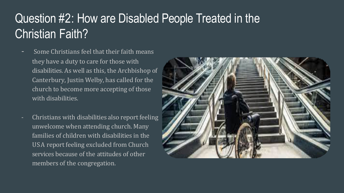### Question #2: How are Disabled People Treated in the Christian Faith?

- Some Christians feel that their faith means they have a duty to care for those with disabilities. As well as this, the Archbishop of Canterbury, Justin Welby, has called for the church to become more accepting of those with disabilities.
- Christians with disabilities also report feeling unwelcome when attending church. Many families of children with disabilities in the USA report feeling excluded from Church services because of the attitudes of other members of the congregation.

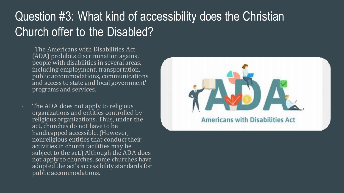#### Question #3: What kind of accessibility does the Christian Church offer to the Disabled?

- The Americans with Disabilities Act (ADA) prohibits discrimination against people with disabilities in several areas, including employment, transportation, public accommodations, communications and access to state and local government' programs and services.
- The ADA does not apply to religious organizations and entities controlled by religious organizations. Thus, under the act, churches do not have to be handicapped accessible. (However, nonreligious entities that conduct their activities in church facilities may be subject to the act.) Although the ADA does not apply to churches, some churches have adopted the act's accessibility standards for public accommodations.

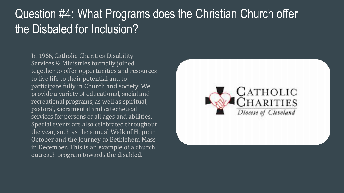#### Question #4: What Programs does the Christian Church offer the Disbaled for Inclusion?

- In 1966, Catholic Charities Disability Services & Ministries formally joined together to offer opportunities and resources to live life to their potential and to participate fully in Church and society. We provide a variety of educational, social and recreational programs, as well as spiritual, pastoral, sacramental and catechetical services for persons of all ages and abilities. Special events are also celebrated throughout the year, such as the annual Walk of Hope in October and the Journey to Bethlehem Mass in December. This is an example of a church outreach program towards the disabled.

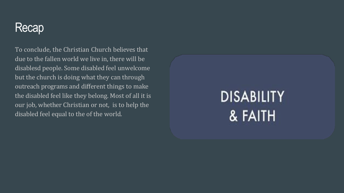#### Recap

To conclude, the Christian Church believes that due to the fallen world we live in, there will be disablesd people. Some disabled feel unwelcome but the church is doing what they can through outreach programs and different things to make the disabled feel like they belong. Most of all it is our job, whether Christian or not, is to help the disabled feel equal to the of the world.

## **DISABILITY** & FAITH